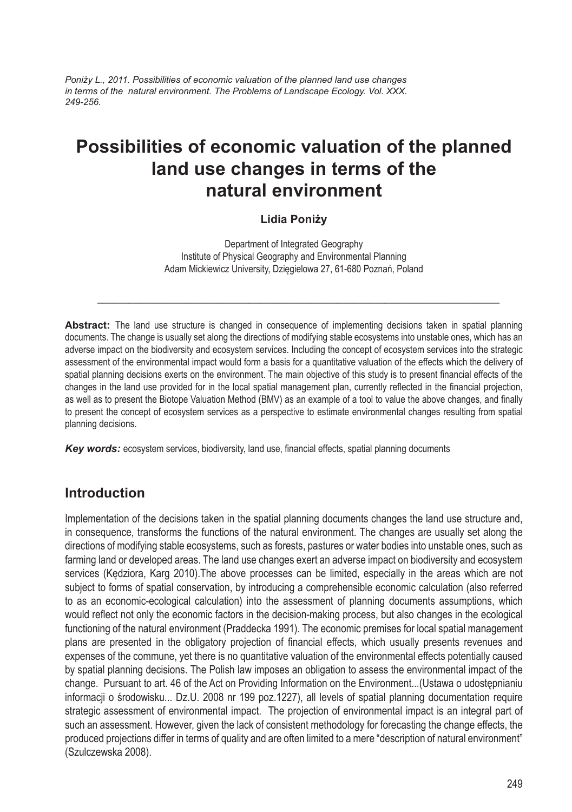*Poniży L., 2011. Possibilities of economic valuation of the planned land use changes in terms of the natural environment. The Problems of Landscape Ecology. Vol. XXX. 249-256.*

# **Possibilities of economic valuation of the planned land use changes in terms of the natural environment**

#### **Lidia Poniży**

Department of Integrated Geography Institute of Physical Geography and Environmental Planning Adam Mickiewicz University, Dzięgielowa 27, 61-680 Poznań, Poland

\_\_\_\_\_\_\_\_\_\_\_\_\_\_\_\_\_\_\_\_\_\_\_\_\_\_\_\_\_\_\_\_\_\_\_\_\_\_\_\_\_\_\_\_\_\_\_\_\_\_\_\_\_\_\_\_\_\_\_\_\_\_\_\_\_\_\_\_\_\_\_\_\_\_\_\_\_

**Abstract:** The land use structure is changed in consequence of implementing decisions taken in spatial planning documents. The change is usually set along the directions of modifying stable ecosystems into unstable ones, which has an adverse impact on the biodiversity and ecosystem services. Including the concept of ecosystem services into the strategic assessment of the environmental impact would form a basis for a quantitative valuation of the effects which the delivery of spatial planning decisions exerts on the environment. The main objective of this study is to present financial effects of the changes in the land use provided for in the local spatial management plan, currently reflected in the financial projection, as well as to present the Biotope Valuation Method (BMV) as an example of a tool to value the above changes, and finally to present the concept of ecosystem services as a perspective to estimate environmental changes resulting from spatial planning decisions.

*Key words:* ecosystem services, biodiversity, land use, financial effects, spatial planning documents

#### **Introduction**

Implementation of the decisions taken in the spatial planning documents changes the land use structure and, in consequence, transforms the functions of the natural environment. The changes are usually set along the directions of modifying stable ecosystems, such as forests, pastures or water bodies into unstable ones, such as farming land or developed areas. The land use changes exert an adverse impact on biodiversity and ecosystem services (Kędziora, Karg 2010).The above processes can be limited, especially in the areas which are not subject to forms of spatial conservation, by introducing a comprehensible economic calculation (also referred to as an economic-ecological calculation) into the assessment of planning documents assumptions, which would reflect not only the economic factors in the decision-making process, but also changes in the ecological functioning of the natural environment (Praddecka 1991). The economic premises for local spatial management plans are presented in the obligatory projection of financial effects, which usually presents revenues and expenses of the commune, yet there is no quantitative valuation of the environmental effects potentially caused by spatial planning decisions. The Polish law imposes an obligation to assess the environmental impact of the change. Pursuant to art. 46 of the Act on Providing Information on the Environment...(Ustawa o udostępnianiu informacji o środowisku... Dz.U. 2008 nr 199 poz.1227), all levels of spatial planning documentation require strategic assessment of environmental impact. The projection of environmental impact is an integral part of such an assessment. However, given the lack of consistent methodology for forecasting the change effects, the produced projections differ in terms of quality and are often limited to a mere "description of natural environment" (Szulczewska 2008).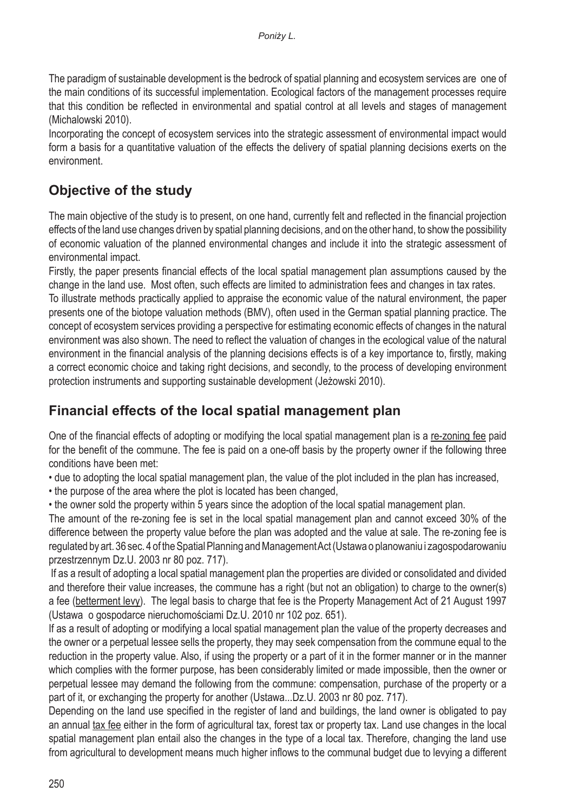The paradigm of sustainable development is the bedrock of spatial planning and ecosystem services are one of the main conditions of its successful implementation. Ecological factors of the management processes require that this condition be reflected in environmental and spatial control at all levels and stages of management (Michalowski 2010).

Incorporating the concept of ecosystem services into the strategic assessment of environmental impact would form a basis for a quantitative valuation of the effects the delivery of spatial planning decisions exerts on the environment.

# **Objective of the study**

The main objective of the study is to present, on one hand, currently felt and reflected in the financial projection effects of the land use changes driven by spatial planning decisions, and on the other hand, to show the possibility of economic valuation of the planned environmental changes and include it into the strategic assessment of environmental impact.

Firstly, the paper presents financial effects of the local spatial management plan assumptions caused by the change in the land use. Most often, such effects are limited to administration fees and changes in tax rates. To illustrate methods practically applied to appraise the economic value of the natural environment, the paper presents one of the biotope valuation methods (BMV), often used in the German spatial planning practice. The concept of ecosystem services providing a perspective for estimating economic effects of changes in the natural environment was also shown. The need to reflect the valuation of changes in the ecological value of the natural environment in the financial analysis of the planning decisions effects is of a key importance to, firstly, making a correct economic choice and taking right decisions, and secondly, to the process of developing environment protection instruments and supporting sustainable development (Jeżowski 2010).

## **Financial effects of the local spatial management plan**

One of the financial effects of adopting or modifying the local spatial management plan is a re-zoning fee paid for the benefit of the commune. The fee is paid on a one-off basis by the property owner if the following three conditions have been met:

• due to adopting the local spatial management plan, the value of the plot included in the plan has increased,

• the purpose of the area where the plot is located has been changed,

• the owner sold the property within 5 years since the adoption of the local spatial management plan.

The amount of the re-zoning fee is set in the local spatial management plan and cannot exceed 30% of the difference between the property value before the plan was adopted and the value at sale. The re-zoning fee is regulated by art. 36 sec. 4 of the Spatial Planning and Management Act (Ustawa o planowaniu i zagospodarowaniu przestrzennym Dz.U. 2003 nr 80 poz. 717).

 If as a result of adopting a local spatial management plan the properties are divided or consolidated and divided and therefore their value increases, the commune has a right (but not an obligation) to charge to the owner(s) a fee (betterment levy). The legal basis to charge that fee is the Property Management Act of 21 August 1997 (Ustawa o gospodarce nieruchomościami Dz.U. 2010 nr 102 poz. 651).

If as a result of adopting or modifying a local spatial management plan the value of the property decreases and the owner or a perpetual lessee sells the property, they may seek compensation from the commune equal to the reduction in the property value. Also, if using the property or a part of it in the former manner or in the manner which complies with the former purpose, has been considerably limited or made impossible, then the owner or perpetual lessee may demand the following from the commune: compensation, purchase of the property or a part of it, or exchanging the property for another (Ustawa...Dz.U. 2003 nr 80 poz. 717).

Depending on the land use specified in the register of land and buildings, the land owner is obligated to pay an annual tax fee either in the form of agricultural tax, forest tax or property tax. Land use changes in the local spatial management plan entail also the changes in the type of a local tax. Therefore, changing the land use from agricultural to development means much higher inflows to the communal budget due to levying a different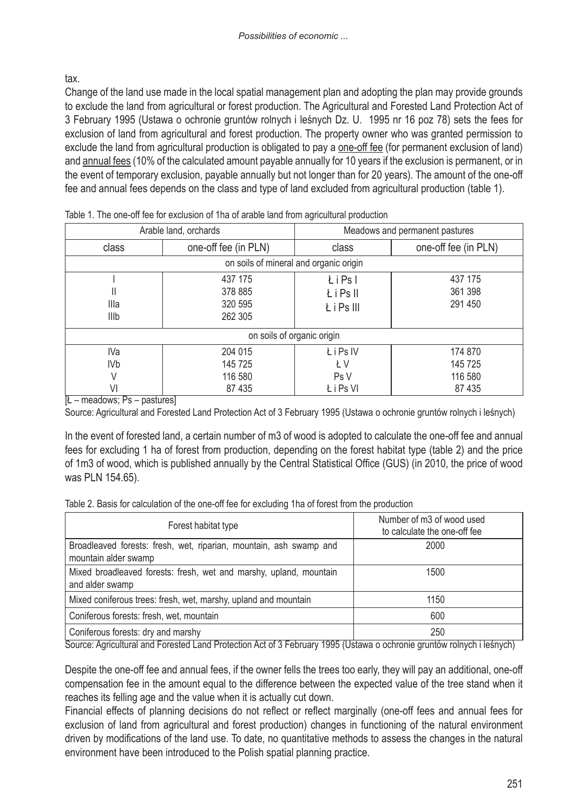tax.

Change of the land use made in the local spatial management plan and adopting the plan may provide grounds to exclude the land from agricultural or forest production. The Agricultural and Forested Land Protection Act of 3 February 1995 (Ustawa o ochronie gruntów rolnych i leśnych Dz. U. 1995 nr 16 poz 78) sets the fees for exclusion of land from agricultural and forest production. The property owner who was granted permission to exclude the land from agricultural production is obligated to pay a one-off fee (for permanent exclusion of land) and annual fees (10% of the calculated amount payable annually for 10 years if the exclusion is permanent, or in the event of temporary exclusion, payable annually but not longer than for 20 years). The amount of the one-off fee and annual fees depends on the class and type of land excluded from agricultural production (table 1).

|                                                               | Arable land, orchards         | Meadows and permanent pastures                                               |                               |  |  |  |  |
|---------------------------------------------------------------|-------------------------------|------------------------------------------------------------------------------|-------------------------------|--|--|--|--|
| class                                                         | one-off fee (in PLN)          | class                                                                        | one-off fee (in PLN)          |  |  |  |  |
| on soils of mineral and organic origin                        |                               |                                                                              |                               |  |  |  |  |
| 437 175<br>378 885<br>Ш<br>320 595<br>Illa<br>262 305<br>Illb |                               | 437 175<br><b>ŁiPsl</b><br>361 398<br><b>LiPsII</b><br>291 450<br>Ł i Ps III |                               |  |  |  |  |
| on soils of organic origin                                    |                               |                                                                              |                               |  |  |  |  |
| IVa<br>IV <sub>b</sub><br>V                                   | 204 015<br>145 725<br>116 580 |                                                                              | 174 870<br>145 725<br>116 580 |  |  |  |  |
| VI                                                            | 87 435                        | Ł i Ps VI                                                                    | 87 435                        |  |  |  |  |

|  | Table 1. The one-off fee for exclusion of 1ha of arable land from agricultural production |  |  |  |  |
|--|-------------------------------------------------------------------------------------------|--|--|--|--|
|  |                                                                                           |  |  |  |  |

[Ł – meadows; Ps – pastures]

Source: Agricultural and Forested Land Protection Act of 3 February 1995 (Ustawa o ochronie gruntów rolnych i leśnych)

In the event of forested land, a certain number of m3 of wood is adopted to calculate the one-off fee and annual fees for excluding 1 ha of forest from production, depending on the forest habitat type (table 2) and the price of 1m3 of wood, which is published annually by the Central Statistical Office (GUS) (in 2010, the price of wood was PLN 154.65).

Table 2. Basis for calculation of the one-off fee for excluding 1ha of forest from the production

| Forest habitat type                                                                        | Number of m3 of wood used<br>to calculate the one-off fee |  |  |
|--------------------------------------------------------------------------------------------|-----------------------------------------------------------|--|--|
| Broadleaved forests: fresh, wet, riparian, mountain, ash swamp and<br>mountain alder swamp | 2000                                                      |  |  |
| Mixed broadleaved forests: fresh, wet and marshy, upland, mountain<br>and alder swamp      | 1500                                                      |  |  |
| Mixed coniferous trees: fresh, wet, marshy, upland and mountain                            | 1150                                                      |  |  |
| Coniferous forests: fresh, wet, mountain                                                   | 600                                                       |  |  |
| Coniferous forests: dry and marshy                                                         | 250                                                       |  |  |

Source: Agricultural and Forested Land Protection Act of 3 February 1995 (Ustawa o ochronie gruntów rolnych i leśnych)

Despite the one-off fee and annual fees, if the owner fells the trees too early, they will pay an additional, one-off compensation fee in the amount equal to the difference between the expected value of the tree stand when it reaches its felling age and the value when it is actually cut down.

Financial effects of planning decisions do not reflect or reflect marginally (one-off fees and annual fees for exclusion of land from agricultural and forest production) changes in functioning of the natural environment driven by modifications of the land use. To date, no quantitative methods to assess the changes in the natural environment have been introduced to the Polish spatial planning practice.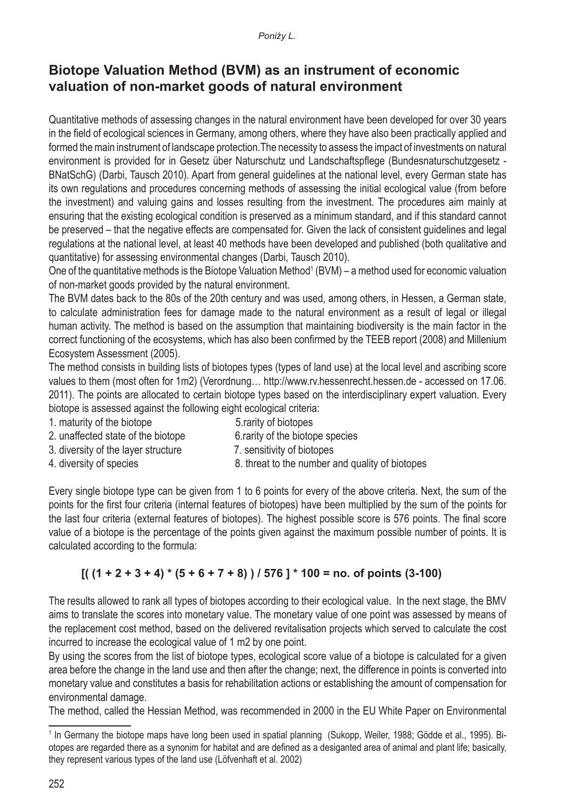### **Biotope Valuation Method (BVM) as an instrument of economic valuation of non-market goods of natural environment**

Quantitative methods of assessing changes in the natural environment have been developed for over 30 years in the field of ecological sciences in Germany, among others, where they have also been practically applied and formed the main instrument of landscape protection.The necessity to assess the impact of investments on natural environment is provided for in Gesetz über Naturschutz und Landschaftspflege (Bundesnaturschutzgesetz - BNatSchG) (Darbi, Tausch 2010). Apart from general guidelines at the national level, every German state has its own regulations and procedures concerning methods of assessing the initial ecological value (from before the investment) and valuing gains and losses resulting from the investment. The procedures aim mainly at ensuring that the existing ecological condition is preserved as a minimum standard, and if this standard cannot be preserved – that the negative effects are compensated for. Given the lack of consistent guidelines and legal regulations at the national level, at least 40 methods have been developed and published (both qualitative and quantitative) for assessing environmental changes (Darbi, Tausch 2010).

One of the quantitative methods is the Biotope Valuation Method<sup>1</sup> (BVM) – a method used for economic valuation of non-market goods provided by the natural environment.

The BVM dates back to the 80s of the 20th century and was used, among others, in Hessen, a German state, to calculate administration fees for damage made to the natural environment as a result of legal or illegal human activity. The method is based on the assumption that maintaining biodiversity is the main factor in the correct functioning of the ecosystems, which has also been confirmed by the TEEB report (2008) and Millenium Ecosystem Assessment (2005).

The method consists in building lists of biotopes types (types of land use) at the local level and ascribing score values to them (most often for 1m2) (Verordnung… http://www.rv.hessenrecht.hessen.de - accessed on 17.06. 2011). The points are allocated to certain biotope types based on the interdisciplinary expert valuation. Every biotope is assessed against the following eight ecological criteria:

- 1. maturity of the biotope 5.rarity of biotopes
	-
- 2. unaffected state of the biotope 6.rarity of the biotope species
	-
- 3. diversity of the layer structure **7.** sensitivity of biotopes
- 4. diversity of species 8. threat to the number and quality of biotopes

Every single biotope type can be given from 1 to 6 points for every of the above criteria. Next, the sum of the points for the first four criteria (internal features of biotopes) have been multiplied by the sum of the points for the last four criteria (external features of biotopes). The highest possible score is 576 points. The final score value of a biotope is the percentage of the points given against the maximum possible number of points. It is calculated according to the formula:

#### $[( (1 + 2 + 3 + 4) * (5 + 6 + 7 + 8) ) / 576 ] * 100 =$  no. of points (3-100)

The results allowed to rank all types of biotopes according to their ecological value. In the next stage, the BMV aims to translate the scores into monetary value. The monetary value of one point was assessed by means of the replacement cost method, based on the delivered revitalisation projects which served to calculate the cost incurred to increase the ecological value of 1 m2 by one point.

By using the scores from the list of biotope types, ecological score value of a biotope is calculated for a given area before the change in the land use and then after the change; next, the difference in points is converted into monetary value and constitutes a basis for rehabilitation actions or establishing the amount of compensation for environmental damage.

The method, called the Hessian Method, was recommended in 2000 in the EU White Paper on Environmental

<sup>&</sup>lt;sup>1</sup> In Germany the biotope maps have long been used in spatial planning (Sukopp, Weiler, 1988; Gödde et al., 1995). Biotopes are regarded there as a synonim for habitat and are defined as a desiganted area of animal and plant life; basically, they represent various types of the land use (Löfvenhaft et al. 2002)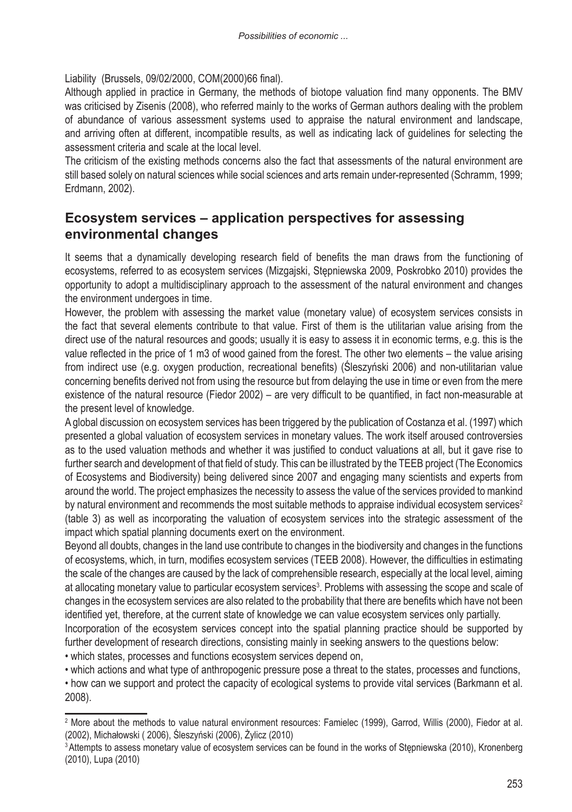Liability (Brussels, 09/02/2000, COM(2000)66 final).

Although applied in practice in Germany, the methods of biotope valuation find many opponents. The BMV was criticised by Zisenis (2008), who referred mainly to the works of German authors dealing with the problem of abundance of various assessment systems used to appraise the natural environment and landscape, and arriving often at different, incompatible results, as well as indicating lack of guidelines for selecting the assessment criteria and scale at the local level.

The criticism of the existing methods concerns also the fact that assessments of the natural environment are still based solely on natural sciences while social sciences and arts remain under-represented (Schramm, 1999; Erdmann, 2002).

#### **Ecosystem services – application perspectives for assessing environmental changes**

It seems that a dynamically developing research field of benefits the man draws from the functioning of ecosystems, referred to as ecosystem services (Mizgajski, Stępniewska 2009, Poskrobko 2010) provides the opportunity to adopt a multidisciplinary approach to the assessment of the natural environment and changes the environment undergoes in time.

However, the problem with assessing the market value (monetary value) of ecosystem services consists in the fact that several elements contribute to that value. First of them is the utilitarian value arising from the direct use of the natural resources and goods; usually it is easy to assess it in economic terms, e.g. this is the value reflected in the price of 1 m3 of wood gained from the forest. The other two elements – the value arising from indirect use (e.g. oxygen production, recreational benefits) (Śleszyński 2006) and non-utilitarian value concerning benefits derived not from using the resource but from delaying the use in time or even from the mere existence of the natural resource (Fiedor 2002) – are very difficult to be quantified, in fact non-measurable at the present level of knowledge.

A global discussion on ecosystem services has been triggered by the publication of Costanza et al. (1997) which presented a global valuation of ecosystem services in monetary values. The work itself aroused controversies as to the used valuation methods and whether it was justified to conduct valuations at all, but it gave rise to further search and development of that field of study. This can be illustrated by the TEEB project (The Economics of Ecosystems and Biodiversity) being delivered since 2007 and engaging many scientists and experts from around the world. The project emphasizes the necessity to assess the value of the services provided to mankind by natural environment and recommends the most suitable methods to appraise individual ecosystem services<sup>2</sup> (table 3) as well as incorporating the valuation of ecosystem services into the strategic assessment of the impact which spatial planning documents exert on the environment.

Beyond all doubts, changes in the land use contribute to changes in the biodiversity and changes in the functions of ecosystems, which, in turn, modifies ecosystem services (TEEB 2008). However, the difficulties in estimating the scale of the changes are caused by the lack of comprehensible research, especially at the local level, aiming at allocating monetary value to particular ecosystem services<sup>3</sup>. Problems with assessing the scope and scale of changes in the ecosystem services are also related to the probability that there are benefits which have not been identified yet, therefore, at the current state of knowledge we can value ecosystem services only partially. Incorporation of the ecosystem services concept into the spatial planning practice should be supported by further development of research directions, consisting mainly in seeking answers to the questions below:

• which states, processes and functions ecosystem services depend on,

• which actions and what type of anthropogenic pressure pose a threat to the states, processes and functions,

• how can we support and protect the capacity of ecological systems to provide vital services (Barkmann et al. 2008).

<sup>2</sup> More about the methods to value natural environment resources: Famielec (1999), Garrod, Willis (2000), Fiedor at al. (2002), Michałowski ( 2006), Śleszyński (2006), Żylicz (2010)

<sup>&</sup>lt;sup>3</sup> Attempts to assess monetary value of ecosystem services can be found in the works of Stepniewska (2010), Kronenberg (2010), Lupa (2010)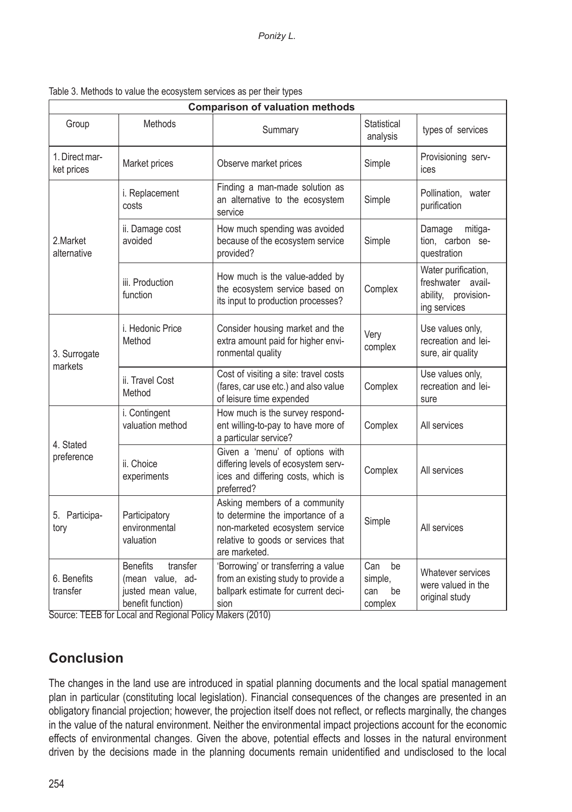| <b>Comparison of valuation methods</b> |                                                                                                         |                                                                                                                                                            |                                              |                                                                                 |  |  |  |
|----------------------------------------|---------------------------------------------------------------------------------------------------------|------------------------------------------------------------------------------------------------------------------------------------------------------------|----------------------------------------------|---------------------------------------------------------------------------------|--|--|--|
| Group                                  | Methods                                                                                                 | Summary                                                                                                                                                    | Statistical<br>analysis                      | types of services                                                               |  |  |  |
| 1. Direct mar-<br>ket prices           | Market prices                                                                                           | Observe market prices                                                                                                                                      | Simple                                       | Provisioning serv-<br>ices                                                      |  |  |  |
| 2.Market<br>alternative                | Finding a man-made solution as<br>i. Replacement<br>an alternative to the ecosystem<br>costs<br>service |                                                                                                                                                            | Simple                                       | Pollination, water<br>purification                                              |  |  |  |
|                                        | ii. Damage cost<br>avoided                                                                              | How much spending was avoided<br>because of the ecosystem service<br>provided?                                                                             |                                              | Damage<br>mitiga-<br>tion, carbon se-<br>questration                            |  |  |  |
|                                        | iii. Production<br>function                                                                             | How much is the value-added by<br>the ecosystem service based on<br>its input to production processes?                                                     | Complex                                      | Water purification,<br>freshwater avail-<br>ability, provision-<br>ing services |  |  |  |
| 3. Surrogate<br>markets                | i. Hedonic Price<br>Method                                                                              | Consider housing market and the<br>extra amount paid for higher envi-<br>ronmental quality                                                                 | Very<br>complex                              | Use values only,<br>recreation and lei-<br>sure, air quality                    |  |  |  |
|                                        | ii. Travel Cost<br>Method                                                                               | Cost of visiting a site: travel costs<br>(fares, car use etc.) and also value<br>of leisure time expended                                                  | Complex                                      | Use values only,<br>recreation and lei-<br>sure                                 |  |  |  |
| 4. Stated<br>preference                | i. Contingent<br>valuation method                                                                       | How much is the survey respond-<br>ent willing-to-pay to have more of<br>a particular service?                                                             | Complex                                      | All services                                                                    |  |  |  |
|                                        | ii. Choice<br>experiments                                                                               | Given a 'menu' of options with<br>differing levels of ecosystem serv-<br>ices and differing costs, which is<br>preferred?                                  | Complex                                      | All services                                                                    |  |  |  |
| 5. Participa-<br>tory                  | Participatory<br>environmental<br>valuation                                                             | Asking members of a community<br>to determine the importance of a<br>non-marketed ecosystem service<br>relative to goods or services that<br>are marketed. | Simple                                       | All services                                                                    |  |  |  |
| 6. Benefits<br>transfer                | transfer<br><b>Benefits</b><br>(mean value, ad-<br>justed mean value,<br>benefit function)              | 'Borrowing' or transferring a value<br>from an existing study to provide a<br>ballpark estimate for current deci-<br>sion                                  | Can<br>be<br>simple,<br>can<br>be<br>complex | Whatever services<br>were valued in the<br>original study                       |  |  |  |

Table 3. Methods to value the ecosystem services as per their types

Source: TEEB for Local and Regional Policy Makers (2010)

# **Conclusion**

The changes in the land use are introduced in spatial planning documents and the local spatial management plan in particular (constituting local legislation). Financial consequences of the changes are presented in an obligatory financial projection; however, the projection itself does not reflect, or reflects marginally, the changes in the value of the natural environment. Neither the environmental impact projections account for the economic effects of environmental changes. Given the above, potential effects and losses in the natural environment driven by the decisions made in the planning documents remain unidentified and undisclosed to the local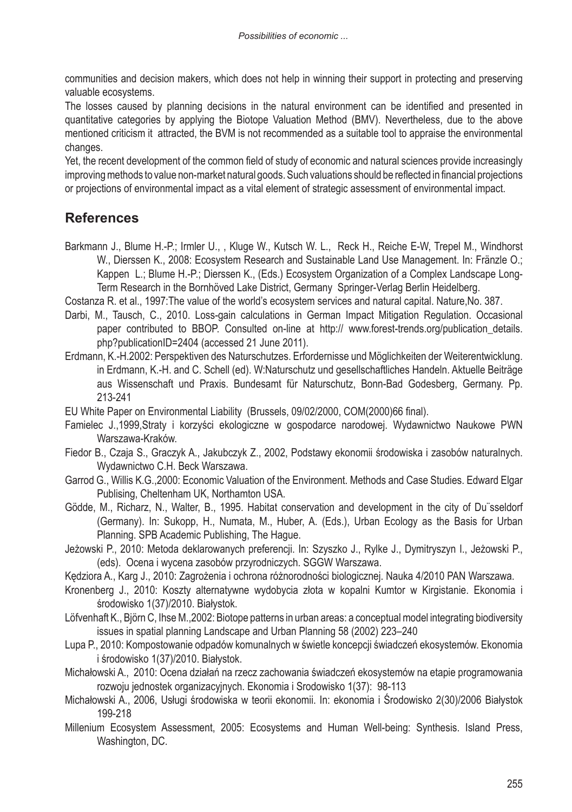communities and decision makers, which does not help in winning their support in protecting and preserving valuable ecosystems.

The losses caused by planning decisions in the natural environment can be identified and presented in quantitative categories by applying the Biotope Valuation Method (BMV). Nevertheless, due to the above mentioned criticism it attracted, the BVM is not recommended as a suitable tool to appraise the environmental changes.

Yet, the recent development of the common field of study of economic and natural sciences provide increasingly improving methods to value non-market natural goods. Such valuations should be reflected in financial projections or projections of environmental impact as a vital element of strategic assessment of environmental impact.

### **References**

Barkmann J., Blume H.-P.; Irmler U., , Kluge W., Kutsch W. L., Reck H., Reiche E-W, Trepel M., Windhorst W., Dierssen K., 2008: Ecosystem Research and Sustainable Land Use Management. In: Fränzle O.; Kappen L.; Blume H.-P.; Dierssen K., (Eds.) Ecosystem Organization of a Complex Landscape Long-Term Research in the Bornhöved Lake District, Germany Springer-Verlag Berlin Heidelberg.

Costanza R. et al., 1997:The value of the world's ecosystem services and natural capital. Nature,No. 387.

- Darbi, M., Tausch, C., 2010. Loss-gain calculations in German Impact Mitigation Regulation. Occasional paper contributed to BBOP. Consulted on-line at http:// www.forest-trends.org/publication\_details. php?publicationID=2404 (accessed 21 June 2011).
- Erdmann, K.-H.2002: Perspektiven des Naturschutzes. Erfordernisse und Möglichkeiten der Weiterentwicklung. in Erdmann, K.-H. and C. Schell (ed). W:Naturschutz und gesellschaftliches Handeln. Aktuelle Beiträge aus Wissenschaft und Praxis. Bundesamt für Naturschutz, Bonn-Bad Godesberg, Germany. Pp. 213-241

EU White Paper on Environmental Liability (Brussels, 09/02/2000, COM(2000)66 final).

- Famielec J.,1999,Straty i korzyści ekologiczne w gospodarce narodowej. Wydawnictwo Naukowe PWN Warszawa-Kraków.
- Fiedor B., Czaja S., Graczyk A., Jakubczyk Z., 2002, Podstawy ekonomii środowiska i zasobów naturalnych. Wydawnictwo C.H. Beck Warszawa.
- Garrod G., Willis K.G.,2000: Economic Valuation of the Environment. Methods and Case Studies. Edward Elgar Publising, Cheltenham UK, Northamton USA.
- Gödde, M., Richarz, N., Walter, B., 1995. Habitat conservation and development in the city of Du¨sseldorf (Germany). In: Sukopp, H., Numata, M., Huber, A. (Eds.), Urban Ecology as the Basis for Urban Planning. SPB Academic Publishing, The Hague.
- Jeżowski P., 2010: Metoda deklarowanych preferencji. In: Szyszko J., Rylke J., Dymitryszyn I., Jeżowski P., (eds). Ocena i wycena zasobów przyrodniczych. SGGW Warszawa.
- Kędziora A., Karg J., 2010: Zagrożenia i ochrona różnorodności biologicznej. Nauka 4/2010 PAN Warszawa.
- Kronenberg J., 2010: Koszty alternatywne wydobycia złota w kopalni Kumtor w Kirgistanie. Ekonomia i środowisko 1(37)/2010. Białystok.
- Löfvenhaft K., Björn C, Ihse M.,2002: Biotope patterns in urban areas: a conceptual model integrating biodiversity issues in spatial planning Landscape and Urban Planning 58 (2002) 223–240
- Lupa P., 2010: Kompostowanie odpadów komunalnych w świetle koncepcji świadczeń ekosystemów. Ekonomia i środowisko 1(37)/2010. Białystok.
- Michałowski A., 2010: Ocena działań na rzecz zachowania świadczeń ekosystemów na etapie programowania rozwoju jednostek organizacyjnych. Ekonomia i Srodowisko 1(37): 98-113
- Michałowski A., 2006, Usługi środowiska w teorii ekonomii. In: ekonomia i Środowisko 2(30)/2006 Białystok 199-218
- Millenium Ecosystem Assessment, 2005: Ecosystems and Human Well-being: Synthesis. Island Press, Washington, DC.